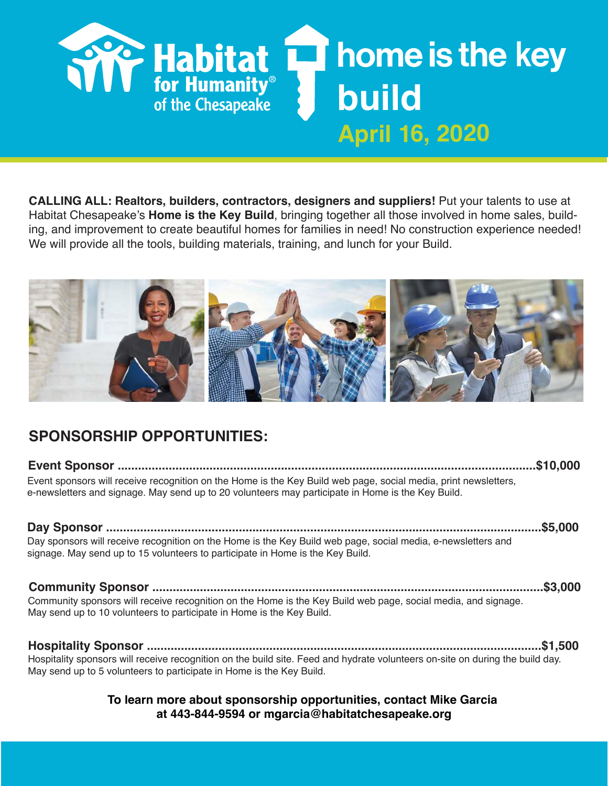

CALLING ALL: Realtors, builders, contractors, designers and suppliers! Put your talents to use at Habitat Chesapeake's **Home is the Key Build**, bringing together all those involved in home sales, building, and improvement to create beautiful homes for families in need! No construction experience needed! We will provide all the tools, building materials, training, and lunch for your Build.



## SPONSORSHIP OPPORTUNITIES:

| Event sponsors will receive recognition on the Home is the Key Build web page, social media, print newsletters,<br>e-newsletters and signage. May send up to 20 volunteers may participate in Home is the Key Build. |  |
|----------------------------------------------------------------------------------------------------------------------------------------------------------------------------------------------------------------------|--|
|                                                                                                                                                                                                                      |  |

| Day sponsors will receive recognition on the Home is the Key Build web page, social media, e-newsletters and |  |
|--------------------------------------------------------------------------------------------------------------|--|
| signage. May send up to 15 volunteers to participate in Home is the Key Build.                               |  |

Community Sponsor ...................................................................................................................\$3,000 Community sponsors will receive recognition on the Home is the Key Build web page, social media, and signage. May send up to 10 volunteers to participate in Home is the Key Build.

Hospitality Sponsor ....................................................................................................................\$1,500 Hospitality sponsors will receive recognition on the build site. Feed and hydrate volunteers on-site on during the build day. May send up to 5 volunteers to participate in Home is the Key Build.

## To learn more about sponsorship opportunities, contact Mike Garcia at 443-844-9594 or mgarcia@habitatchesapeake.org